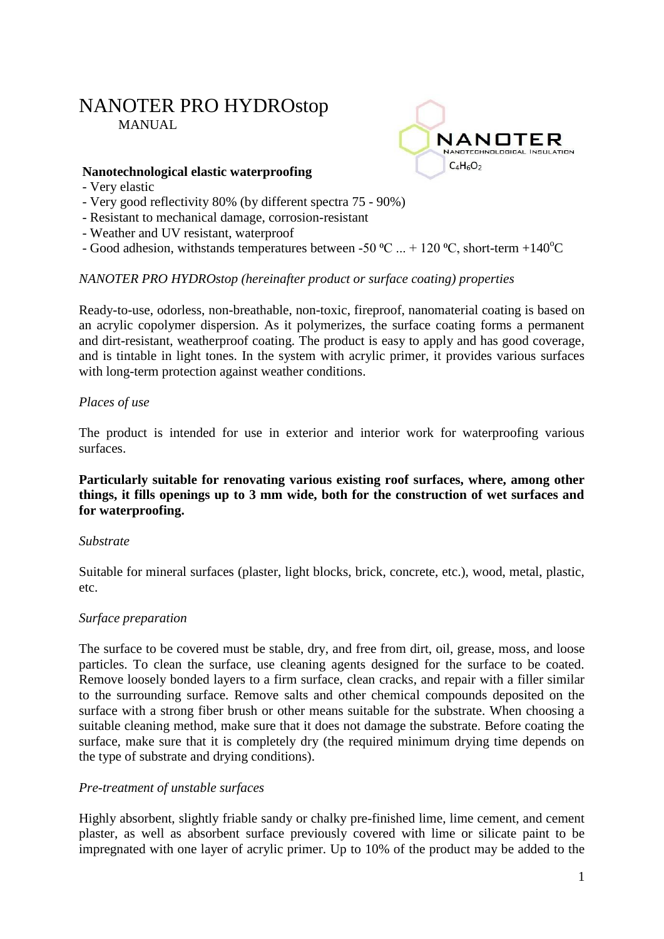# NANOTER PRO HYDROstop MANUAL



#### **Nanotechnological elastic waterproofing**

- Very elastic
- Very good reflectivity 80% (by different spectra 75 90%)
- Resistant to mechanical damage, corrosion-resistant
- Weather and UV resistant, waterproof
- Good adhesion, withstands temperatures between -50 °C ... + 120 °C, short-term +140°C

#### *NANOTER PRO HYDROstop (hereinafter product or surface coating) properties*

Ready-to-use, odorless, non-breathable, non-toxic, fireproof, nanomaterial coating is based on an acrylic copolymer dispersion. As it polymerizes, the surface coating forms a permanent and dirt-resistant, weatherproof coating. The product is easy to apply and has good coverage, and is tintable in light tones. In the system with acrylic primer, it provides various surfaces with long-term protection against weather conditions.

#### *Places of use*

The product is intended for use in exterior and interior work for waterproofing various surfaces.

#### **Particularly suitable for renovating various existing roof surfaces, where, among other things, it fills openings up to 3 mm wide, both for the construction of wet surfaces and for waterproofing.**

#### *Substrate*

Suitable for mineral surfaces (plaster, light blocks, brick, concrete, etc.), wood, metal, plastic, etc.

#### *Surface preparation*

The surface to be covered must be stable, dry, and free from dirt, oil, grease, moss, and loose particles. To clean the surface, use cleaning agents designed for the surface to be coated. Remove loosely bonded layers to a firm surface, clean cracks, and repair with a filler similar to the surrounding surface. Remove salts and other chemical compounds deposited on the surface with a strong fiber brush or other means suitable for the substrate. When choosing a suitable cleaning method, make sure that it does not damage the substrate. Before coating the surface, make sure that it is completely dry (the required minimum drying time depends on the type of substrate and drying conditions).

#### *Pre-treatment of unstable surfaces*

Highly absorbent, slightly friable sandy or chalky pre-finished lime, lime cement, and cement plaster, as well as absorbent surface previously covered with lime or silicate paint to be impregnated with one layer of acrylic primer. Up to 10% of the product may be added to the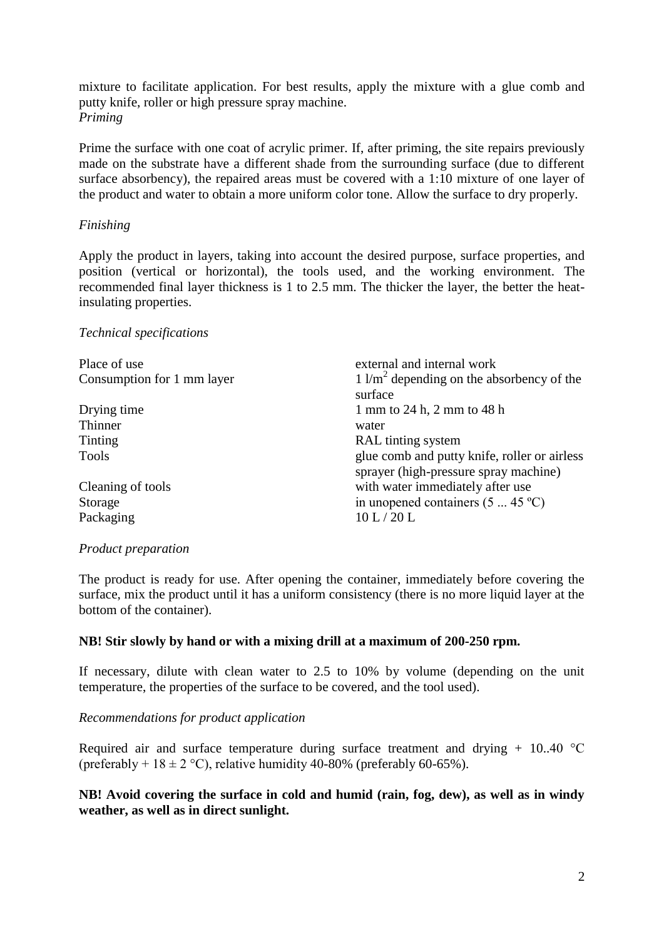mixture to facilitate application. For best results, apply the mixture with a glue comb and putty knife, roller or high pressure spray machine. *Priming*

Prime the surface with one coat of acrylic primer. If, after priming, the site repairs previously made on the substrate have a different shade from the surrounding surface (due to different surface absorbency), the repaired areas must be covered with a 1:10 mixture of one layer of the product and water to obtain a more uniform color tone. Allow the surface to dry properly.

## *Finishing*

Apply the product in layers, taking into account the desired purpose, surface properties, and position (vertical or horizontal), the tools used, and the working environment. The recommended final layer thickness is 1 to 2.5 mm. The thicker the layer, the better the heatinsulating properties.

#### *Technical specifications*

| Place of use               | external and internal work                                                            |
|----------------------------|---------------------------------------------------------------------------------------|
| Consumption for 1 mm layer | $1 \frac{\text{m}^2}{\text{m}^2}$ depending on the absorbency of the<br>surface       |
| Drying time                | 1 mm to 24 h, 2 mm to 48 h                                                            |
| Thinner                    | water                                                                                 |
| Tinting                    | RAL tinting system                                                                    |
| Tools                      | glue comb and putty knife, roller or airless<br>sprayer (high-pressure spray machine) |
| Cleaning of tools          | with water immediately after use                                                      |
| Storage                    | in unopened containers $(5 \dots 45 \degree C)$                                       |
| Packaging                  | 10 L/20 L                                                                             |

#### *Product preparation*

The product is ready for use. After opening the container, immediately before covering the surface, mix the product until it has a uniform consistency (there is no more liquid layer at the bottom of the container).

#### **NB! Stir slowly by hand or with a mixing drill at a maximum of 200-250 rpm.**

If necessary, dilute with clean water to 2.5 to 10% by volume (depending on the unit temperature, the properties of the surface to be covered, and the tool used).

#### *Recommendations for product application*

Required air and surface temperature during surface treatment and drying  $+$  10.40 °C (preferably +  $18 \pm 2$  °C), relative humidity 40-80% (preferably 60-65%).

#### **NB! Avoid covering the surface in cold and humid (rain, fog, dew), as well as in windy weather, as well as in direct sunlight.**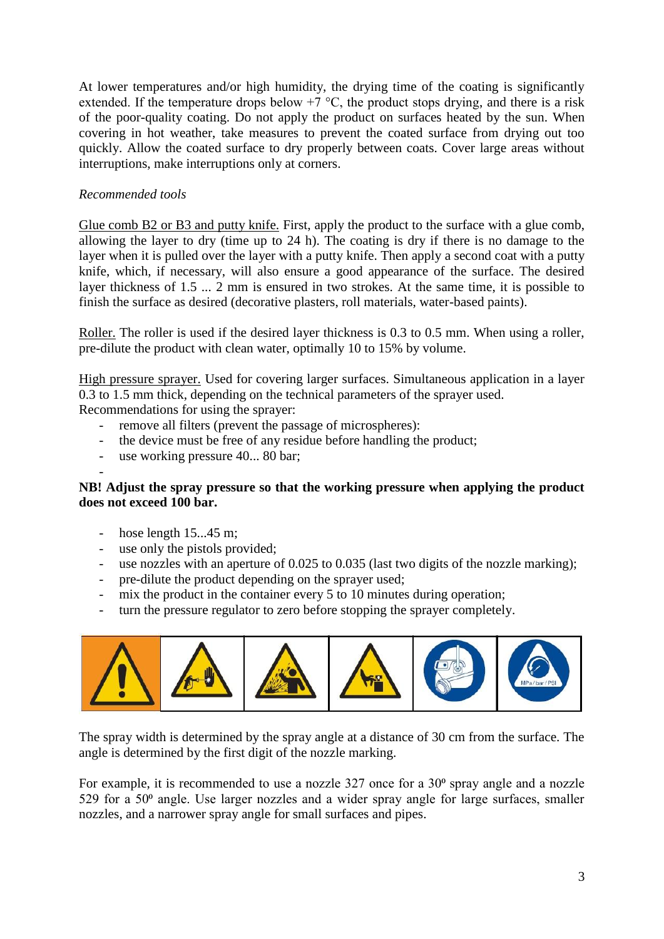At lower temperatures and/or high humidity, the drying time of the coating is significantly extended. If the temperature drops below  $+7$  °C, the product stops drying, and there is a risk of the poor-quality coating. Do not apply the product on surfaces heated by the sun. When covering in hot weather, take measures to prevent the coated surface from drying out too quickly. Allow the coated surface to dry properly between coats. Cover large areas without interruptions, make interruptions only at corners.

# *Recommended tools*

Glue comb B2 or B3 and putty knife. First, apply the product to the surface with a glue comb, allowing the layer to dry (time up to 24 h). The coating is dry if there is no damage to the layer when it is pulled over the layer with a putty knife. Then apply a second coat with a putty knife, which, if necessary, will also ensure a good appearance of the surface. The desired layer thickness of 1.5 ... 2 mm is ensured in two strokes. At the same time, it is possible to finish the surface as desired (decorative plasters, roll materials, water-based paints).

Roller. The roller is used if the desired layer thickness is 0.3 to 0.5 mm. When using a roller, pre-dilute the product with clean water, optimally 10 to 15% by volume.

High pressure sprayer. Used for covering larger surfaces. Simultaneous application in a layer 0.3 to 1.5 mm thick, depending on the technical parameters of the sprayer used. Recommendations for using the sprayer:

- remove all filters (prevent the passage of microspheres):
- the device must be free of any residue before handling the product;
- use working pressure 40... 80 bar;

# **NB! Adjust the spray pressure so that the working pressure when applying the product does not exceed 100 bar.**

- hose length 15...45 m;

-

- use only the pistols provided;
- use nozzles with an aperture of 0.025 to 0.035 (last two digits of the nozzle marking);
- pre-dilute the product depending on the sprayer used;
- mix the product in the container every 5 to 10 minutes during operation;
- turn the pressure regulator to zero before stopping the sprayer completely.



The spray width is determined by the spray angle at a distance of 30 cm from the surface. The angle is determined by the first digit of the nozzle marking.

For example, it is recommended to use a nozzle  $327$  once for a  $30^{\circ}$  spray angle and a nozzle 529 for a  $50<sup>o</sup>$  angle. Use larger nozzles and a wider spray angle for large surfaces, smaller nozzles, and a narrower spray angle for small surfaces and pipes.